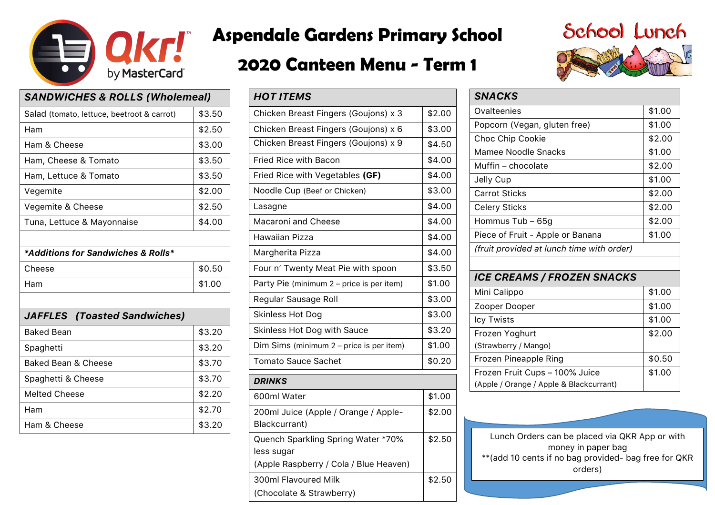

# **Aspendale Gardens Primary School**

## **2020 Canteen Menu - Term 1**

| <b>SANDWICHES &amp; ROLLS (Wholemeal)</b>  |        |  |
|--------------------------------------------|--------|--|
| Salad (tomato, lettuce, beetroot & carrot) | \$3.50 |  |
| Ham                                        | \$2.50 |  |
| Ham & Cheese                               | \$3.00 |  |
| Ham, Cheese & Tomato                       | \$3.50 |  |
| Ham, Lettuce & Tomato                      | \$3.50 |  |
| Vegemite                                   | \$2.00 |  |
| Vegemite & Cheese                          | \$2.50 |  |
| Tuna, Lettuce & Mayonnaise                 | \$4.00 |  |
|                                            |        |  |
| *Additions for Sandwiches & Rolls*         |        |  |
| Cheese                                     |        |  |
|                                            | \$0.50 |  |
| Ham                                        | \$1.00 |  |
|                                            |        |  |
| <b>JAFFLES</b> (Toasted Sandwiches)        |        |  |
| <b>Baked Bean</b>                          | \$3.20 |  |
| Spaghetti                                  | \$3.20 |  |
| <b>Baked Bean &amp; Cheese</b>             | \$3.70 |  |
| Spaghetti & Cheese                         | \$3.70 |  |
| <b>Melted Cheese</b>                       | \$2.20 |  |
| Ham                                        | \$2.70 |  |

| <b>HOT ITEMS</b>                                      |        |
|-------------------------------------------------------|--------|
| Chicken Breast Fingers (Goujons) x 3                  | \$2.00 |
| Chicken Breast Fingers (Goujons) x 6                  | \$3.00 |
| Chicken Breast Fingers (Goujons) x 9                  | \$4.50 |
| <b>Fried Rice with Bacon</b>                          | \$4.00 |
| Fried Rice with Vegetables (GF)                       | \$4.00 |
| Noodle Cup (Beef or Chicken)                          | \$3.00 |
| Lasagne                                               | \$4.00 |
| <b>Macaroni and Cheese</b>                            | \$4.00 |
| <b>Hawaiian Pizza</b>                                 | \$4.00 |
| Margherita Pizza                                      | \$4.00 |
| Four n' Twenty Meat Pie with spoon                    | \$3.50 |
| Party Pie (minimum 2 - price is per item)             | \$1.00 |
| Regular Sausage Roll                                  | \$3.00 |
| Skinless Hot Dog                                      | \$3.00 |
| Skinless Hot Dog with Sauce                           | \$3.20 |
| Dim Sims (minimum 2 - price is per item)              | \$1.00 |
| <b>Tomato Sauce Sachet</b>                            | \$0.20 |
| <b>DRINKS</b>                                         |        |
| 600ml Water                                           | \$1.00 |
| 200ml Juice (Apple / Orange / Apple-<br>Blackcurrant) | \$2.00 |
| Quench Sparkling Spring Water *70%<br>less sugar      | \$2.50 |
| (Apple Raspberry / Cola / Blue Heaven)                |        |
| 300ml Flavoured Milk                                  | \$2.50 |
| (Chocolate & Strawberry)                              |        |



| <b>SNACKS</b>                             |        |  |
|-------------------------------------------|--------|--|
| Ovalteenies                               | \$1.00 |  |
| Popcorn (Vegan, gluten free)              | \$1.00 |  |
| Choc Chip Cookie                          | \$2.00 |  |
| Mamee Noodle Snacks                       | \$1.00 |  |
| Muffin – chocolate                        | \$2.00 |  |
| Jelly Cup                                 | \$1.00 |  |
| <b>Carrot Sticks</b>                      | \$2.00 |  |
| <b>Celery Sticks</b>                      | \$2.00 |  |
| Hommus Tub - 65g                          | \$2.00 |  |
| Piece of Fruit - Apple or Banana          | \$1.00 |  |
| (fruit provided at lunch time with order) |        |  |
|                                           |        |  |
| <b>ICE CREAMS / FROZEN SNACKS</b>         |        |  |
| Mini Calippo                              | \$1.00 |  |
| Zooper Dooper                             | \$1.00 |  |
| Icy Twists                                | \$1.00 |  |
| Frozen Yoghurt                            | \$2.00 |  |
| (Strawberry / Mango)                      |        |  |
| Frozen Pineapple Ring                     | \$0.50 |  |
| Frozen Fruit Cups - 100% Juice            | \$1.00 |  |
| (Apple / Orange / Apple & Blackcurrant)   |        |  |

Lunch Orders can be placed via QKR App or with money in paper bag \*\*(add 10 cents if no bag provided- bag free for QKR orders)